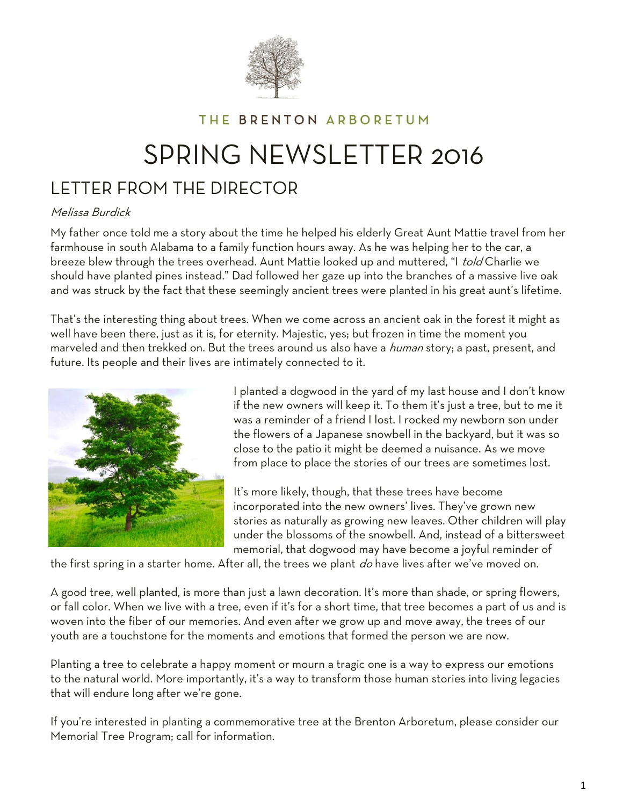

# THE BRENTON ARBORETUM

# SPRING NEWSLETTER 2016

# LETTER FROM THE DIRECTOR

#### Melissa Burdick

My father once told me a story about the time he helped his elderly Great Aunt Mattie travel from her farmhouse in south Alabama to a family function hours away. As he was helping her to the car, a breeze blew through the trees overhead. Aunt Mattie looked up and muttered, "I told Charlie we should have planted pines instead." Dad followed her gaze up into the branches of a massive live oak and was struck by the fact that these seemingly ancient trees were planted in his great aunt's lifetime.

That's the interesting thing about trees. When we come across an ancient oak in the forest it might as well have been there, just as it is, for eternity. Majestic, yes; but frozen in time the moment you marveled and then trekked on. But the trees around us also have a *human* story; a past, present, and future. Its people and their lives are intimately connected to it.



I planted a dogwood in the yard of my last house and I don't know if the new owners will keep it. To them it's just a tree, but to me it was a reminder of a friend I lost. I rocked my newborn son under the flowers of a Japanese snowbell in the backyard, but it was so close to the patio it might be deemed a nuisance. As we move from place to place the stories of our trees are sometimes lost.

It's more likely, though, that these trees have become incorporated into the new owners' lives. They've grown new stories as naturally as growing new leaves. Other children will play under the blossoms of the snowbell. And, instead of a bittersweet memorial, that dogwood may have become a joyful reminder of

the first spring in a starter home. After all, the trees we plant do have lives after we've moved on.

A good tree, well planted, is more than just a lawn decoration. It's more than shade, or spring flowers, or fall color. When we live with a tree, even if it's for a short time, that tree becomes a part of us and is woven into the fiber of our memories. And even after we grow up and move away, the trees of our youth are a touchstone for the moments and emotions that formed the person we are now.

Planting a tree to celebrate a happy moment or mourn a tragic one is a way to express our emotions to the natural world. More importantly, it's a way to transform those human stories into living legacies that will endure long after we're gone.

If you're interested in planting a commemorative tree at the Brenton Arboretum, please consider our Memorial Tree Program; call for information.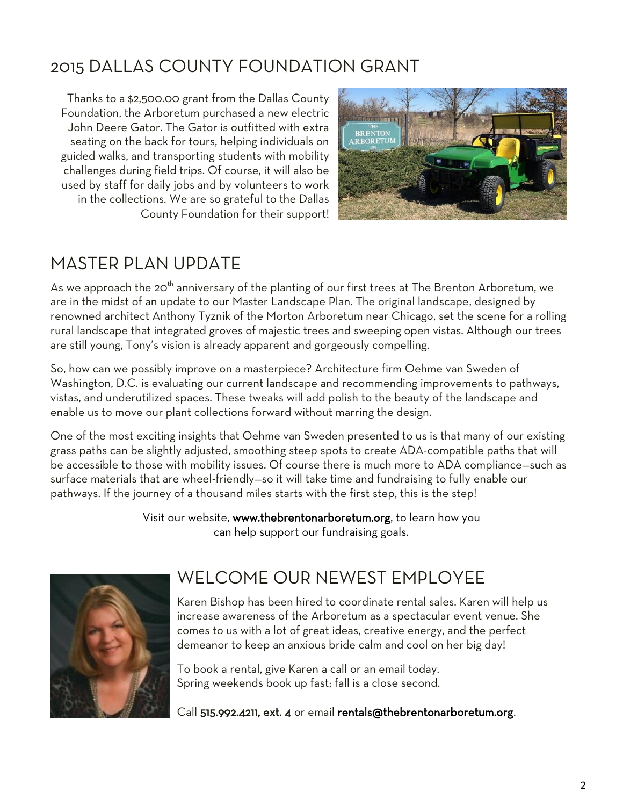# 2015 DALLAS COUNTY FOUNDATION GRANT

Thanks to a \$2,500.00 grant from the Dallas County Foundation, the Arboretum purchased a new electric John Deere Gator. The Gator is outfitted with extra seating on the back for tours, helping individuals on guided walks, and transporting students with mobility challenges during field trips. Of course, it will also be used by staff for daily jobs and by volunteers to work in the collections. We are so grateful to the Dallas County Foundation for their support!



# MASTER PLAN UPDATE

As we approach the 20<sup>th</sup> anniversary of the planting of our first trees at The Brenton Arboretum, we are in the midst of an update to our Master Landscape Plan. The original landscape, designed by renowned architect Anthony Tyznik of the Morton Arboretum near Chicago, set the scene for a rolling rural landscape that integrated groves of majestic trees and sweeping open vistas. Although our trees are still young, Tony's vision is already apparent and gorgeously compelling.

So, how can we possibly improve on a masterpiece? Architecture firm Oehme van Sweden of Washington, D.C. is evaluating our current landscape and recommending improvements to pathways, vistas, and underutilized spaces. These tweaks will add polish to the beauty of the landscape and enable us to move our plant collections forward without marring the design.

One of the most exciting insights that Oehme van Sweden presented to us is that many of our existing grass paths can be slightly adjusted, smoothing steep spots to create ADA-compatible paths that will be accessible to those with mobility issues. Of course there is much more to ADA compliance—such as surface materials that are wheel-friendly—so it will take time and fundraising to fully enable our pathways. If the journey of a thousand miles starts with the first step, this is the step!

> Visit our website, www.thebrentonarboretum.org, to learn how you can help support our fundraising goals.



# WELCOME OUR NEWEST EMPLOYEE

Karen Bishop has been hired to coordinate rental sales. Karen will help us increase awareness of the Arboretum as a spectacular event venue. She comes to us with a lot of great ideas, creative energy, and the perfect demeanor to keep an anxious bride calm and cool on her big day!

To book a rental, give Karen a call or an email today. Spring weekends book up fast; fall is a close second.

Call 515.992.4211, ext. 4 or email rentals@thebrentonarboretum.org.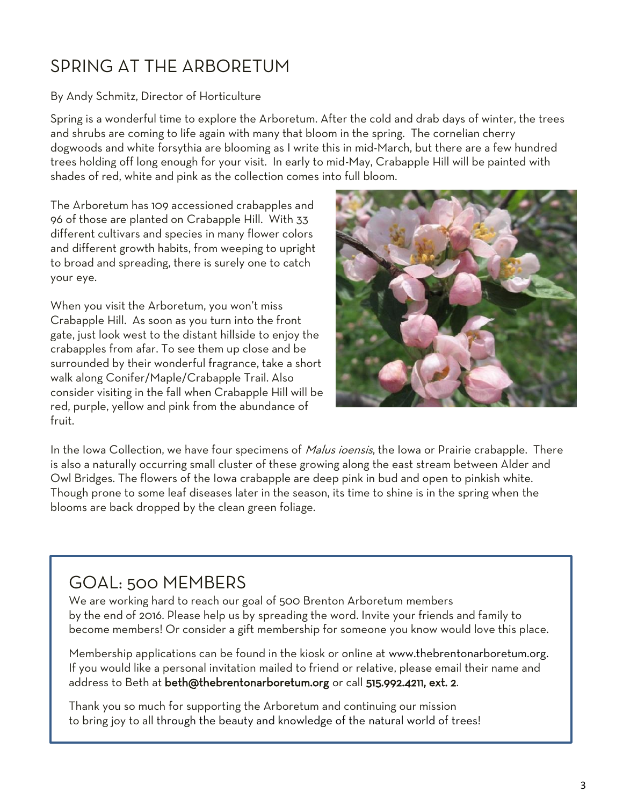# SPRING AT THE ARBORETUM

# By Andy Schmitz, Director of Horticulture

Spring is a wonderful time to explore the Arboretum. After the cold and drab days of winter, the trees and shrubs are coming to life again with many that bloom in the spring. The cornelian cherry dogwoods and white forsythia are blooming as I write this in mid-March, but there are a few hundred trees holding off long enough for your visit. In early to mid-May, Crabapple Hill will be painted with shades of red, white and pink as the collection comes into full bloom.

The Arboretum has 109 accessioned crabapples and 96 of those are planted on Crabapple Hill. With 33 different cultivars and species in many flower colors and different growth habits, from weeping to upright to broad and spreading, there is surely one to catch your eye.

When you visit the Arboretum, you won't miss Crabapple Hill. As soon as you turn into the front gate, just look west to the distant hillside to enjoy the crabapples from afar. To see them up close and be surrounded by their wonderful fragrance, take a short walk along Conifer/Maple/Crabapple Trail. Also consider visiting in the fall when Crabapple Hill will be red, purple, yellow and pink from the abundance of fruit.



In the Iowa Collection, we have four specimens of *Malus ioensis*, the Iowa or Prairie crabapple. There is also a naturally occurring small cluster of these growing along the east stream between Alder and Owl Bridges. The flowers of the Iowa crabapple are deep pink in bud and open to pinkish white. Though prone to some leaf diseases later in the season, its time to shine is in the spring when the blooms are back dropped by the clean green foliage.

# GOAL: 500 MEMBERS

We are working hard to reach our goal of 500 Brenton Arboretum members by the end of 2016. Please help us by spreading the word. Invite your friends and family to become members! Or consider a gift membership for someone you know would love this place.

Membership applications can be found in the kiosk or online at [www.thebrentonarboretum.org.](http://www.thebrentonarboretum.org/) If you would like a personal invitation mailed to friend or relative, please email their name and address to Beth at [beth@thebrentonarboretum.org](mailto:beth@thebrentonarboretum.org) or call 515.992.4211, ext. 2.

 $\overline{a}$ 

Thank you so much for supporting the Arboretum and continuing our mission to bring joy to all through the beauty and knowledge of the natural world of trees!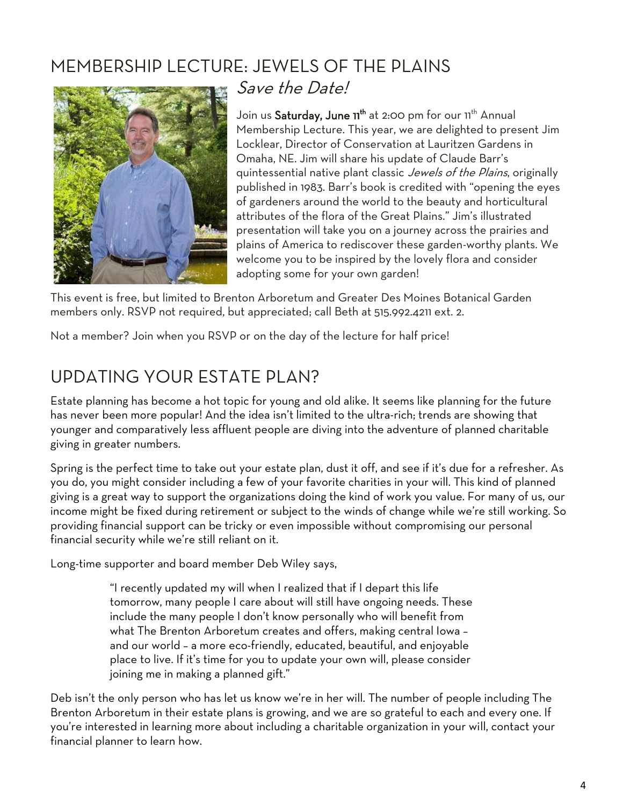# MEMBERSHIP LECTURE: JEWELS OF THE PLAINS



Save the Date!

Join us Saturday, June 11<sup>th</sup> at 2:00 pm for our 11<sup>th</sup> Annual Membership Lecture. This year, we are delighted to present Jim Locklear, Director of Conservation at Lauritzen Gardens in Omaha, NE. Jim will share his update of Claude Barr's quintessential native plant classic *Jewels of the Plains*, originally published in 1983. Barr's book is credited with "opening the eyes of gardeners around the world to the beauty and horticultural attributes of the flora of the Great Plains.‖ Jim's illustrated presentation will take you on a journey across the prairies and plains of America to rediscover these garden-worthy plants. We welcome you to be inspired by the lovely flora and consider adopting some for your own garden!

This event is free, but limited to Brenton Arboretum and Greater Des Moines Botanical Garden members only. RSVP not required, but appreciated; call Beth at 515.992.4211 ext. 2.

Not a member? Join when you RSVP or on the day of the lecture for half price!

# UPDATING YOUR ESTATE PLAN?

Estate planning has become a hot topic for young and old alike. It seems like planning for the future has never been more popular! And the idea isn't limited to the ultra-rich; trends are showing that younger and comparatively less affluent people are diving into the adventure of planned charitable giving in greater numbers.

Spring is the perfect time to take out your estate plan, dust it off, and see if it's due for a refresher. As you do, you might consider including a few of your favorite charities in your will. This kind of planned giving is a great way to support the organizations doing the kind of work you value. For many of us, our income might be fixed during retirement or subject to the winds of change while we're still working. So providing financial support can be tricky or even impossible without compromising our personal financial security while we're still reliant on it.

Long-time supporter and board member Deb Wiley says,

"I recently updated my will when I realized that if I depart this life tomorrow, many people I care about will still have ongoing needs. These include the many people I don't know personally who will benefit from what The Brenton Arboretum creates and offers, making central Iowa – and our world – a more eco-friendly, educated, beautiful, and enjoyable place to live. If it's time for you to update your own will, please consider joining me in making a planned gift."

Deb isn't the only person who has let us know we're in her will. The number of people including The Brenton Arboretum in their estate plans is growing, and we are so grateful to each and every one. If you're interested in learning more about including a charitable organization in your will, contact your financial planner to learn how.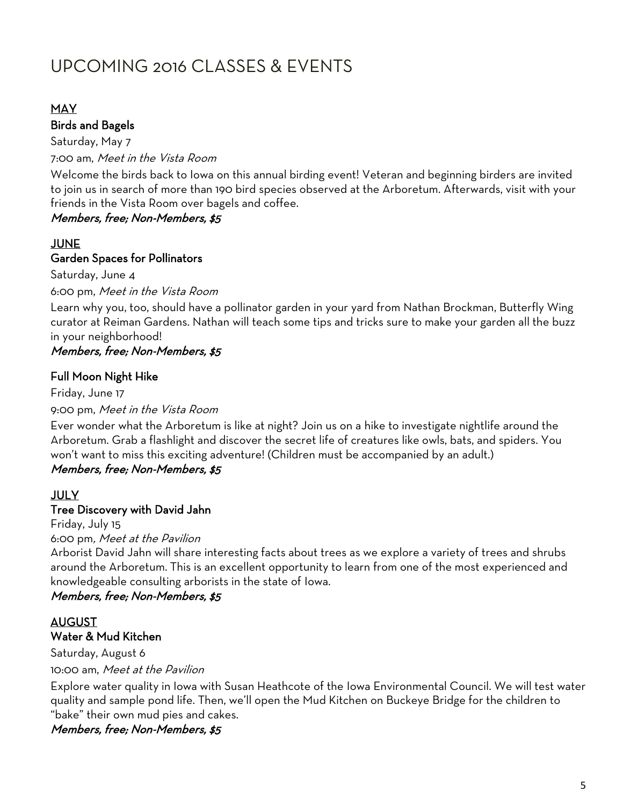# UPCOMING 2016 CLASSES & EVENTS

### MAY

### Birds and Bagels

Saturday, May 7 7:00 am, Meet in the Vista Room

Welcome the birds back to Iowa on this annual birding event! Veteran and beginning birders are invited to join us in search of more than 190 bird species observed at the Arboretum. Afterwards, visit with your friends in the Vista Room over bagels and coffee.

### Members, free; Non-Members, \$5

# JUNE

## Garden Spaces for Pollinators

Saturday, June 4

#### 6:00 pm, Meet in the Vista Room

Learn why you, too, should have a pollinator garden in your yard from Nathan Brockman, Butterfly Wing curator at Reiman Gardens. Nathan will teach some tips and tricks sure to make your garden all the buzz in your neighborhood!

# Members, free; Non-Members, \$5

### Full Moon Night Hike

Friday, June 17 9:00 pm, Meet in the Vista Room

Ever wonder what the Arboretum is like at night? Join us on a hike to investigate nightlife around the Arboretum. Grab a flashlight and discover the secret life of creatures like owls, bats, and spiders. You won't want to miss this exciting adventure! (Children must be accompanied by an adult.) Members, free; Non-Members, \$5

#### JULY

#### Tree Discovery with David Jahn

Friday, July 15

6:00 pm, Meet at the Pavilion

Arborist David Jahn will share interesting facts about trees as we explore a variety of trees and shrubs around the Arboretum. This is an excellent opportunity to learn from one of the most experienced and knowledgeable consulting arborists in the state of Iowa.

### Members, free; Non-Members, \$5

### AUGUST Water & Mud Kitchen

Saturday, August 6 10:00 am, Meet at the Pavilion

Explore water quality in Iowa with Susan Heathcote of the Iowa Environmental Council. We will test water quality and sample pond life. Then, we'll open the Mud Kitchen on Buckeye Bridge for the children to "bake" their own mud pies and cakes.

Members, free; Non-Members, \$5